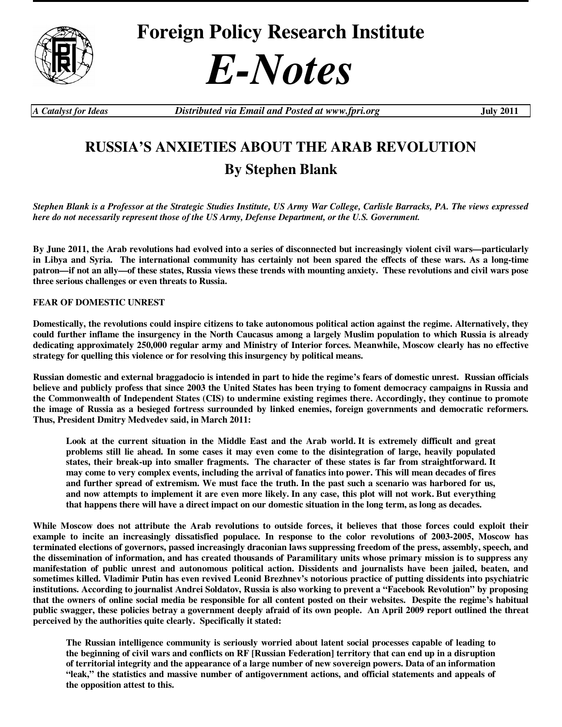

## *E-Notes*

*A Catalyst for Ideas Distributed via Email and Posted at www.fpri.org* **July 2011** 

## **RUSSIA'S ANXIETIES ABOUT THE ARAB REVOLUTION By Stephen Blank**

*Stephen Blank is a Professor at the Strategic Studies Institute, US Army War College, Carlisle Barracks, PA. The views expressed here do not necessarily represent those of the US Army, Defense Department, or the U.S. Government.* 

**By June 2011, the Arab revolutions had evolved into a series of disconnected but increasingly violent civil wars—particularly in Libya and Syria. The international community has certainly not been spared the effects of these wars. As a long-time patron—if not an ally—of these states, Russia views these trends with mounting anxiety. These revolutions and civil wars pose three serious challenges or even threats to Russia.** 

**FEAR OF DOMESTIC UNREST** 

**Domestically, the revolutions could inspire citizens to take autonomous political action against the regime. Alternatively, they could further inflame the insurgency in the North Caucasus among a largely Muslim population to which Russia is already dedicating approximately 250,000 regular army and Ministry of Interior forces. Meanwhile, Moscow clearly has no effective strategy for quelling this violence or for resolving this insurgency by political means.** 

**Russian domestic and external braggadocio is intended in part to hide the regime's fears of domestic unrest. Russian officials believe and publicly profess that since 2003 the United States has been trying to foment democracy campaigns in Russia and the Commonwealth of Independent States (CIS) to undermine existing regimes there. Accordingly, they continue to promote the image of Russia as a besieged fortress surrounded by linked enemies, foreign governments and democratic reformers. Thus, President Dmitry Medvedev said, in March 2011:** 

**Look at the current situation in the Middle East and the Arab world. It is extremely difficult and great problems still lie ahead. In some cases it may even come to the disintegration of large, heavily populated states, their break-up into smaller fragments. The character of these states is far from straightforward. It may come to very complex events, including the arrival of fanatics into power. This will mean decades of fires and further spread of extremism. We must face the truth. In the past such a scenario was harbored for us, and now attempts to implement it are even more likely. In any case, this plot will not work. But everything that happens there will have a direct impact on our domestic situation in the long term, as long as decades.** 

**While Moscow does not attribute the Arab revolutions to outside forces, it believes that those forces could exploit their example to incite an increasingly dissatisfied populace. In response to the color revolutions of 2003-2005, Moscow has terminated elections of governors, passed increasingly draconian laws suppressing freedom of the press, assembly, speech, and the dissemination of information, and has created thousands of Paramilitary units whose primary mission is to suppress any manifestation of public unrest and autonomous political action. Dissidents and journalists have been jailed, beaten, and sometimes killed. Vladimir Putin has even revived Leonid Brezhnev's notorious practice of putting dissidents into psychiatric institutions. According to journalist Andrei Soldatov, Russia is also working to prevent a "Facebook Revolution" by proposing that the owners of online social media be responsible for all content posted on their websites. Despite the regime's habitual public swagger, these policies betray a government deeply afraid of its own people. An April 2009 report outlined the threat perceived by the authorities quite clearly. Specifically it stated:** 

**The Russian intelligence community is seriously worried about latent social processes capable of leading to the beginning of civil wars and conflicts on RF [Russian Federation] territory that can end up in a disruption of territorial integrity and the appearance of a large number of new sovereign powers. Data of an information "leak," the statistics and massive number of antigovernment actions, and official statements and appeals of the opposition attest to this.**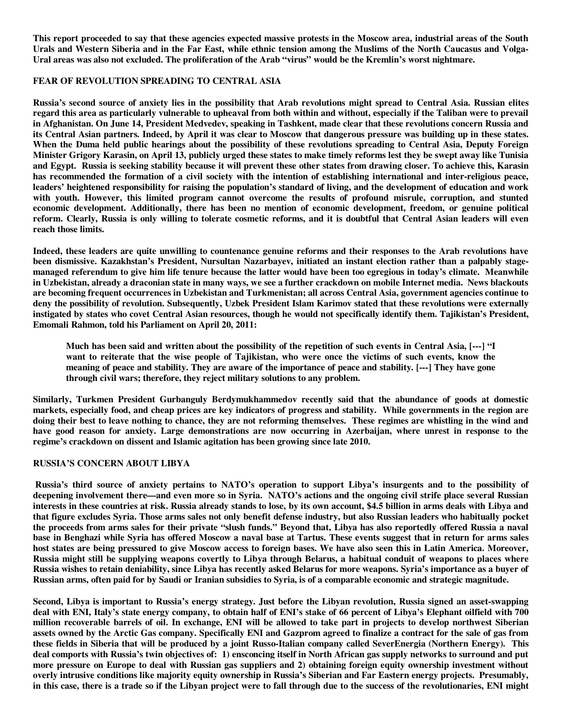**This report proceeded to say that these agencies expected massive protests in the Moscow area, industrial areas of the South Urals and Western Siberia and in the Far East, while ethnic tension among the Muslims of the North Caucasus and Volga-Ural areas was also not excluded. The proliferation of the Arab "virus" would be the Kremlin's worst nightmare.** 

## **FEAR OF REVOLUTION SPREADING TO CENTRAL ASIA**

**Russia's second source of anxiety lies in the possibility that Arab revolutions might spread to Central Asia. Russian elites regard this area as particularly vulnerable to upheaval from both within and without, especially if the Taliban were to prevail in Afghanistan. On June 14, President Medvedev, speaking in Tashkent, made clear that these revolutions concern Russia and its Central Asian partners. Indeed, by April it was clear to Moscow that dangerous pressure was building up in these states. When the Duma held public hearings about the possibility of these revolutions spreading to Central Asia, Deputy Foreign Minister Grigory Karasin, on April 13, publicly urged these states to make timely reforms lest they be swept away like Tunisia and Egypt. Russia is seeking stability because it will prevent these other states from drawing closer. To achieve this, Karasin has recommended the formation of a civil society with the intention of establishing international and inter-religious peace, leaders' heightened responsibility for raising the population's standard of living, and the development of education and work with youth. However, this limited program cannot overcome the results of profound misrule, corruption, and stunted economic development. Additionally, there has been no mention of economic development, freedom, or genuine political reform. Clearly, Russia is only willing to tolerate cosmetic reforms, and it is doubtful that Central Asian leaders will even reach those limits.** 

**Indeed, these leaders are quite unwilling to countenance genuine reforms and their responses to the Arab revolutions have been dismissive. Kazakhstan's President, Nursultan Nazarbayev, initiated an instant election rather than a palpably stagemanaged referendum to give him life tenure because the latter would have been too egregious in today's climate. Meanwhile in Uzbekistan, already a draconian state in many ways, we see a further crackdown on mobile Internet media. News blackouts are becoming frequent occurrences in Uzbekistan and Turkmenistan; all across Central Asia, government agencies continue to deny the possibility of revolution. Subsequently, Uzbek President Islam Karimov stated that these revolutions were externally instigated by states who covet Central Asian resources, though he would not specifically identify them. Tajikistan's President, Emomali Rahmon, told his Parliament on April 20, 2011:** 

**Much has been said and written about the possibility of the repetition of such events in Central Asia, [---] "I want to reiterate that the wise people of Tajikistan, who were once the victims of such events, know the meaning of peace and stability. They are aware of the importance of peace and stability. [---] They have gone through civil wars; therefore, they reject military solutions to any problem.** 

**Similarly, Turkmen President Gurbanguly Berdymukhammedov recently said that the abundance of goods at domestic markets, especially food, and cheap prices are key indicators of progress and stability. While governments in the region are doing their best to leave nothing to chance, they are not reforming themselves. These regimes are whistling in the wind and have good reason for anxiety. Large demonstrations are now occurring in Azerbaijan, where unrest in response to the regime's crackdown on dissent and Islamic agitation has been growing since late 2010.** 

## **RUSSIA'S CONCERN ABOUT LIBYA**

 **Russia's third source of anxiety pertains to NATO's operation to support Libya's insurgents and to the possibility of deepening involvement there—and even more so in Syria. NATO's actions and the ongoing civil strife place several Russian interests in these countries at risk. Russia already stands to lose, by its own account, \$4.5 billion in arms deals with Libya and that figure excludes Syria. Those arms sales not only benefit defense industry, but also Russian leaders who habitually pocket the proceeds from arms sales for their private "slush funds." Beyond that, Libya has also reportedly offered Russia a naval base in Benghazi while Syria has offered Moscow a naval base at Tartus. These events suggest that in return for arms sales host states are being pressured to give Moscow access to foreign bases. We have also seen this in Latin America. Moreover, Russia might still be supplying weapons covertly to Libya through Belarus, a habitual conduit of weapons to places where Russia wishes to retain deniability, since Libya has recently asked Belarus for more weapons. Syria's importance as a buyer of Russian arms, often paid for by Saudi or Iranian subsidies to Syria, is of a comparable economic and strategic magnitude.** 

**Second, Libya is important to Russia's energy strategy. Just before the Libyan revolution, Russia signed an asset-swapping deal with ENI, Italy's state energy company, to obtain half of ENI's stake of 66 percent of Libya's Elephant oilfield with 700 million recoverable barrels of oil. In exchange, ENI will be allowed to take part in projects to develop northwest Siberian assets owned by the Arctic Gas company. Specifically ENI and Gazprom agreed to finalize a contract for the sale of gas from these fields in Siberia that will be produced by a joint Russo-Italian company called SeverEnergia (Northern Energy). This deal comports with Russia's twin objectives of: 1) ensconcing itself in North African gas supply networks to surround and put more pressure on Europe to deal with Russian gas suppliers and 2) obtaining foreign equity ownership investment without overly intrusive conditions like majority equity ownership in Russia's Siberian and Far Eastern energy projects. Presumably, in this case, there is a trade so if the Libyan project were to fall through due to the success of the revolutionaries, ENI might**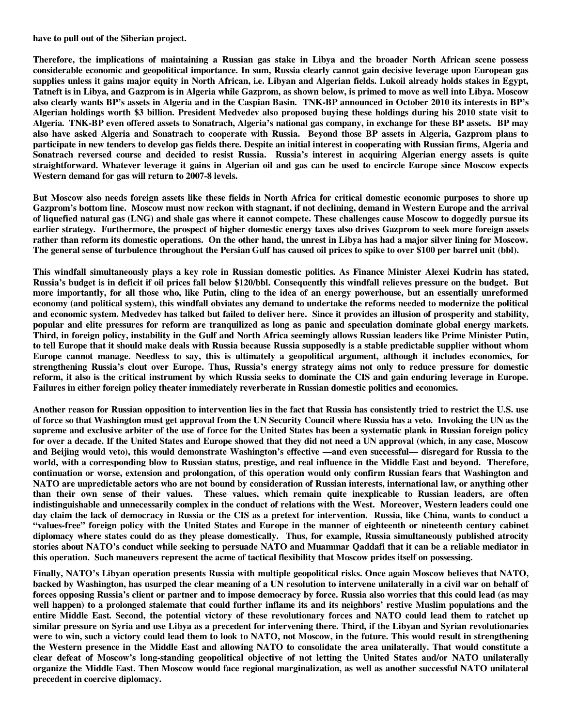**have to pull out of the Siberian project.** 

**Therefore, the implications of maintaining a Russian gas stake in Libya and the broader North African scene possess considerable economic and geopolitical importance. In sum, Russia clearly cannot gain decisive leverage upon European gas supplies unless it gains major equity in North African, i.e. Libyan and Algerian fields. Lukoil already holds stakes in Egypt, Tatneft is in Libya, and Gazprom is in Algeria while Gazprom, as shown below, is primed to move as well into Libya. Moscow also clearly wants BP's assets in Algeria and in the Caspian Basin. TNK-BP announced in October 2010 its interests in BP's Algerian holdings worth \$3 billion. President Medvedev also proposed buying these holdings during his 2010 state visit to Algeria. TNK-BP even offered assets to Sonatrach, Algeria's national gas company, in exchange for these BP assets. BP may also have asked Algeria and Sonatrach to cooperate with Russia. Beyond those BP assets in Algeria, Gazprom plans to participate in new tenders to develop gas fields there. Despite an initial interest in cooperating with Russian firms, Algeria and Sonatrach reversed course and decided to resist Russia. Russia's interest in acquiring Algerian energy assets is quite straightforward. Whatever leverage it gains in Algerian oil and gas can be used to encircle Europe since Moscow expects Western demand for gas will return to 2007-8 levels.** 

**But Moscow also needs foreign assets like these fields in North Africa for critical domestic economic purposes to shore up Gazprom's bottom line. Moscow must now reckon with stagnant, if not declining, demand in Western Europe and the arrival of liquefied natural gas (LNG) and shale gas where it cannot compete. These challenges cause Moscow to doggedly pursue its earlier strategy. Furthermore, the prospect of higher domestic energy taxes also drives Gazprom to seek more foreign assets rather than reform its domestic operations. On the other hand, the unrest in Libya has had a major silver lining for Moscow. The general sense of turbulence throughout the Persian Gulf has caused oil prices to spike to over \$100 per barrel unit (bbl).** 

**This windfall simultaneously plays a key role in Russian domestic politics. As Finance Minister Alexei Kudrin has stated, Russia's budget is in deficit if oil prices fall below \$120/bbl. Consequently this windfall relieves pressure on the budget. But more importantly, for all those who, like Putin, cling to the idea of an energy powerhouse, but an essentially unreformed economy (and political system), this windfall obviates any demand to undertake the reforms needed to modernize the political and economic system. Medvedev has talked but failed to deliver here. Since it provides an illusion of prosperity and stability, popular and elite pressures for reform are tranquilized as long as panic and speculation dominate global energy markets. Third, in foreign policy, instability in the Gulf and North Africa seemingly allows Russian leaders like Prime Minister Putin, to tell Europe that it should make deals with Russia because Russia supposedly is a stable predictable supplier without whom Europe cannot manage. Needless to say, this is ultimately a geopolitical argument, although it includes economics, for strengthening Russia's clout over Europe. Thus, Russia's energy strategy aims not only to reduce pressure for domestic reform, it also is the critical instrument by which Russia seeks to dominate the CIS and gain enduring leverage in Europe. Failures in either foreign policy theater immediately reverberate in Russian domestic politics and economics.** 

**Another reason for Russian opposition to intervention lies in the fact that Russia has consistently tried to restrict the U.S. use of force so that Washington must get approval from the UN Security Council where Russia has a veto. Invoking the UN as the supreme and exclusive arbiter of the use of force for the United States has been a systematic plank in Russian foreign policy for over a decade. If the United States and Europe showed that they did not need a UN approval (which, in any case, Moscow and Beijing would veto), this would demonstrate Washington's effective —and even successful— disregard for Russia to the world, with a corresponding blow to Russian status, prestige, and real influence in the Middle East and beyond. Therefore, continuation or worse, extension and prolongation, of this operation would only confirm Russian fears that Washington and NATO are unpredictable actors who are not bound by consideration of Russian interests, international law, or anything other than their own sense of their values. These values, which remain quite inexplicable to Russian leaders, are often indistinguishable and unnecessarily complex in the conduct of relations with the West. Moreover, Western leaders could one day claim the lack of democracy in Russia or the CIS as a pretext for intervention. Russia, like China, wants to conduct a "values-free" foreign policy with the United States and Europe in the manner of eighteenth or nineteenth century cabinet diplomacy where states could do as they please domestically. Thus, for example, Russia simultaneously published atrocity stories about NATO's conduct while seeking to persuade NATO and Muammar Qaddafi that it can be a reliable mediator in this operation. Such maneuvers represent the acme of tactical flexibility that Moscow prides itself on possessing.** 

**Finally, NATO's Libyan operation presents Russia with multiple geopolitical risks. Once again Moscow believes that NATO, backed by Washington, has usurped the clear meaning of a UN resolution to intervene unilaterally in a civil war on behalf of forces opposing Russia's client or partner and to impose democracy by force. Russia also worries that this could lead (as may well happen) to a prolonged stalemate that could further inflame its and its neighbors' restive Muslim populations and the entire Middle East. Second, the potential victory of these revolutionary forces and NATO could lead them to ratchet up similar pressure on Syria and use Libya as a precedent for intervening there. Third, if the Libyan and Syrian revolutionaries were to win, such a victory could lead them to look to NATO, not Moscow, in the future. This would result in strengthening the Western presence in the Middle East and allowing NATO to consolidate the area unilaterally. That would constitute a clear defeat of Moscow's long-standing geopolitical objective of not letting the United States and/or NATO unilaterally organize the Middle East. Then Moscow would face regional marginalization, as well as another successful NATO unilateral precedent in coercive diplomacy.**